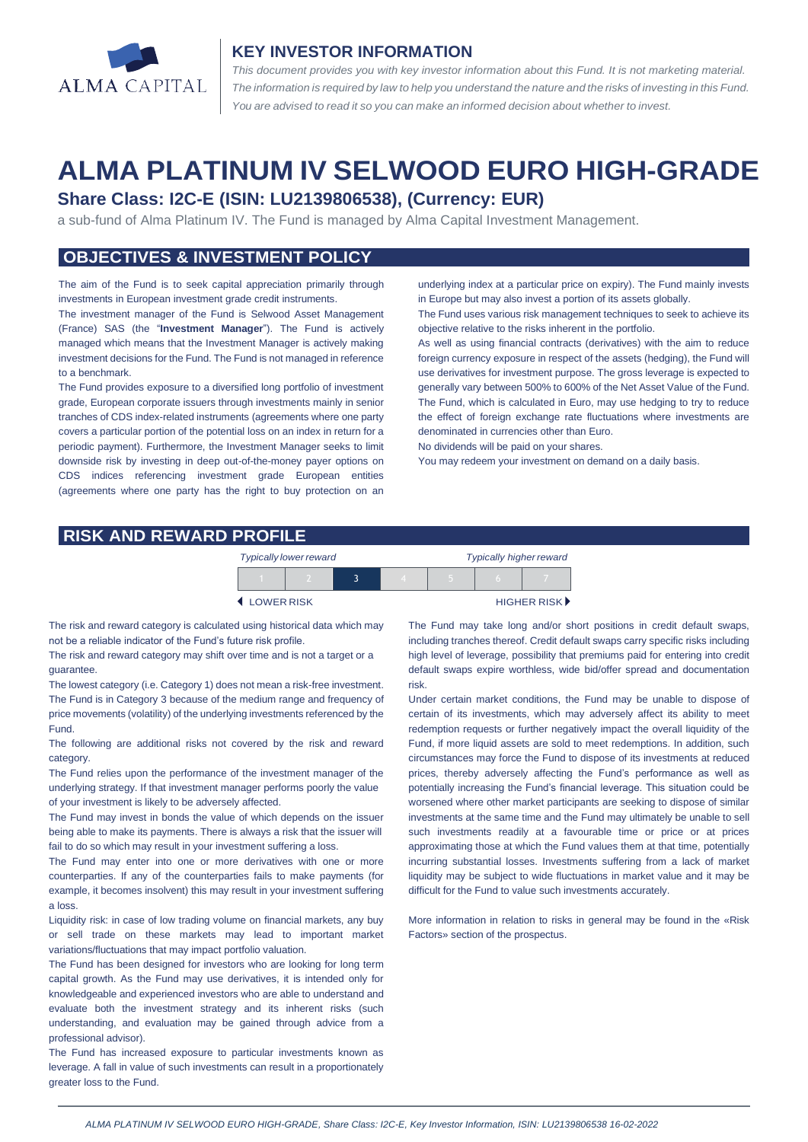

#### **KEY INVESTOR INFORMATION**

*This document provides you with key investor information about this Fund. It is not marketing material.*  The information is required by law to help you understand the nature and the risks of investing in this Fund. *You are advised to read it so you can make an informed decision about whether to invest.*

# **ALMA PLATINUM IV SELWOOD EURO HIGH-GRADE**

#### **Share Class: I2C-E (ISIN: LU2139806538), (Currency: EUR)**

a sub-fund of Alma Platinum IV. The Fund is managed by Alma Capital Investment Management.

# **OBJECTIVES & INVESTMENT POLICY**

The aim of the Fund is to seek capital appreciation primarily through investments in European investment grade credit instruments.

The investment manager of the Fund is Selwood Asset Management (France) SAS (the "**Investment Manager**"). The Fund is actively managed which means that the Investment Manager is actively making investment decisions for the Fund. The Fund is not managed in reference to a benchmark.

The Fund provides exposure to a diversified long portfolio of investment grade, European corporate issuers through investments mainly in senior tranches of CDS index-related instruments (agreements where one party covers a particular portion of the potential loss on an index in return for a periodic payment). Furthermore, the Investment Manager seeks to limit downside risk by investing in deep out-of-the-money payer options on CDS indices referencing investment grade European entities (agreements where one party has the right to buy protection on an

underlying index at a particular price on expiry). The Fund mainly invests in Europe but may also invest a portion of its assets globally.

The Fund uses various risk management techniques to seek to achieve its objective relative to the risks inherent in the portfolio.

As well as using financial contracts (derivatives) with the aim to reduce foreign currency exposure in respect of the assets (hedging), the Fund will use derivatives for investment purpose. The gross leverage is expected to generally vary between 500% to 600% of the Net Asset Value of the Fund. The Fund, which is calculated in Euro, may use hedging to try to reduce the effect of foreign exchange rate fluctuations where investments are denominated in currencies other than Euro.

No dividends will be paid on your shares.

You may redeem your investment on demand on a daily basis.

#### **RISK AND REWARD PROFILE**

|            | <b>Typically lower reward</b> |  | <b>Typically higher reward</b> |  |                      |
|------------|-------------------------------|--|--------------------------------|--|----------------------|
|            |                               |  |                                |  |                      |
| LOWER RISK |                               |  |                                |  | <b>HIGHER RISK</b> ▶ |

The risk and reward category is calculated using historical data which may not be a reliable indicator of the Fund's future risk profile.

The risk and reward category may shift over time and is not a target or a guarantee.

The lowest category (i.e. Category 1) does not mean a risk-free investment. The Fund is in Category 3 because of the medium range and frequency of price movements (volatility) of the underlying investments referenced by the Fund.

The following are additional risks not covered by the risk and reward category.

The Fund relies upon the performance of the investment manager of the underlying strategy. If that investment manager performs poorly the value of your investment is likely to be adversely affected.

The Fund may invest in bonds the value of which depends on the issuer being able to make its payments. There is always a risk that the issuer will fail to do so which may result in your investment suffering a loss.

The Fund may enter into one or more derivatives with one or more counterparties. If any of the counterparties fails to make payments (for example, it becomes insolvent) this may result in your investment suffering a loss.

Liquidity risk: in case of low trading volume on financial markets, any buy or sell trade on these markets may lead to important market variations/fluctuations that may impact portfolio valuation.

The Fund has been designed for investors who are looking for long term capital growth. As the Fund may use derivatives, it is intended only for knowledgeable and experienced investors who are able to understand and evaluate both the investment strategy and its inherent risks (such understanding, and evaluation may be gained through advice from a professional advisor).

The Fund has increased exposure to particular investments known as leverage. A fall in value of such investments can result in a proportionately greater loss to the Fund.

The Fund may take long and/or short positions in credit default swaps, including tranches thereof. Credit default swaps carry specific risks including high level of leverage, possibility that premiums paid for entering into credit default swaps expire worthless, wide bid/offer spread and documentation risk.

Under certain market conditions, the Fund may be unable to dispose of certain of its investments, which may adversely affect its ability to meet redemption requests or further negatively impact the overall liquidity of the Fund, if more liquid assets are sold to meet redemptions. In addition, such circumstances may force the Fund to dispose of its investments at reduced prices, thereby adversely affecting the Fund's performance as well as potentially increasing the Fund's financial leverage. This situation could be worsened where other market participants are seeking to dispose of similar investments at the same time and the Fund may ultimately be unable to sell such investments readily at a favourable time or price or at prices approximating those at which the Fund values them at that time, potentially incurring substantial losses. Investments suffering from a lack of market liquidity may be subject to wide fluctuations in market value and it may be difficult for the Fund to value such investments accurately.

More information in relation to risks in general may be found in the «Risk Factors» section of the prospectus.